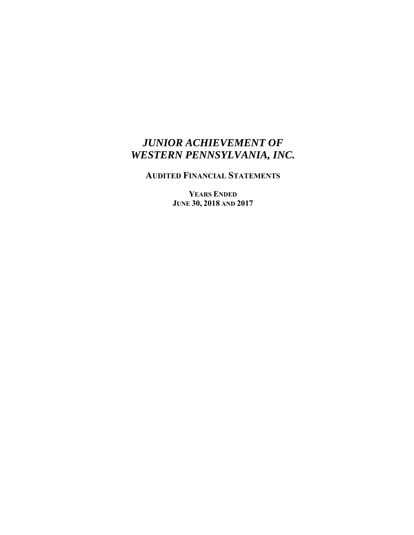## *JUNIOR ACHIEVEMENT OF WESTERN PENNSYLVANIA, INC.*

**AUDITED FINANCIAL STATEMENTS**

**YEARS ENDED JUNE 30, 2018 AND 2017**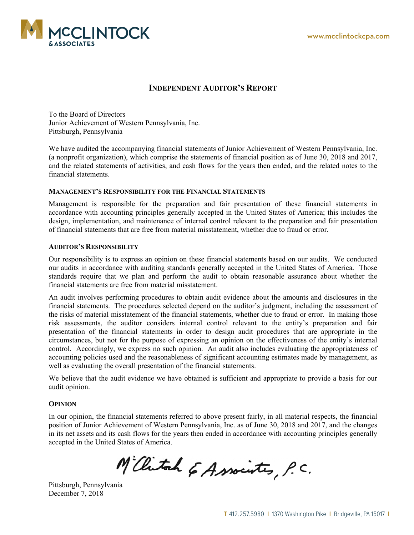

#### **INDEPENDENT AUDITOR'S REPORT**

To the Board of Directors Junior Achievement of Western Pennsylvania, Inc. Pittsburgh, Pennsylvania

We have audited the accompanying financial statements of Junior Achievement of Western Pennsylvania, Inc. (a nonprofit organization), which comprise the statements of financial position as of June 30, 2018 and 2017, and the related statements of activities, and cash flows for the years then ended, and the related notes to the financial statements.

#### **MANAGEMENT'S RESPONSIBILITY FOR THE FINANCIAL STATEMENTS**

Management is responsible for the preparation and fair presentation of these financial statements in accordance with accounting principles generally accepted in the United States of America; this includes the design, implementation, and maintenance of internal control relevant to the preparation and fair presentation of financial statements that are free from material misstatement, whether due to fraud or error.

#### **AUDITOR'S RESPONSIBILITY**

Our responsibility is to express an opinion on these financial statements based on our audits. We conducted our audits in accordance with auditing standards generally accepted in the United States of America. Those standards require that we plan and perform the audit to obtain reasonable assurance about whether the financial statements are free from material misstatement.

An audit involves performing procedures to obtain audit evidence about the amounts and disclosures in the financial statements. The procedures selected depend on the auditor's judgment, including the assessment of the risks of material misstatement of the financial statements, whether due to fraud or error. In making those risk assessments, the auditor considers internal control relevant to the entity's preparation and fair presentation of the financial statements in order to design audit procedures that are appropriate in the circumstances, but not for the purpose of expressing an opinion on the effectiveness of the entity's internal control. Accordingly, we express no such opinion. An audit also includes evaluating the appropriateness of accounting policies used and the reasonableness of significant accounting estimates made by management, as well as evaluating the overall presentation of the financial statements.

We believe that the audit evidence we have obtained is sufficient and appropriate to provide a basis for our audit opinion.

#### **OPINION**

In our opinion, the financial statements referred to above present fairly, in all material respects, the financial position of Junior Achievement of Western Pennsylvania, Inc. as of June 30, 2018 and 2017, and the changes in its net assets and its cash flows for the years then ended in accordance with accounting principles generally accepted in the United States of America.

M'autoch & Associates, P.C.

Pittsburgh, Pennsylvania December 7, 2018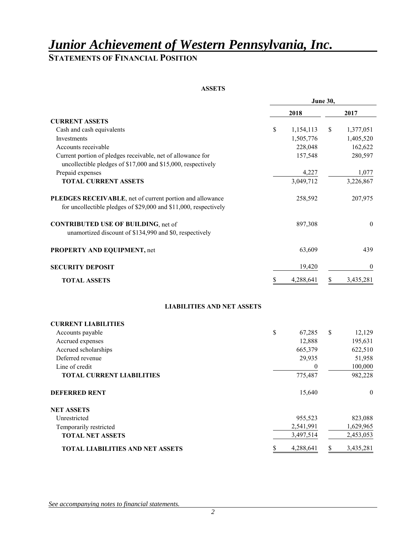**STATEMENTS OF FINANCIAL POSITION**

#### **ASSETS**

|                                                                                                                             | <b>June 30,</b> |                  |    |                  |
|-----------------------------------------------------------------------------------------------------------------------------|-----------------|------------------|----|------------------|
|                                                                                                                             |                 | 2018             |    | 2017             |
| <b>CURRENT ASSETS</b>                                                                                                       |                 |                  |    |                  |
| Cash and cash equivalents                                                                                                   | \$              | 1,154,113        | \$ | 1,377,051        |
| Investments                                                                                                                 |                 | 1,505,776        |    | 1,405,520        |
| Accounts receivable                                                                                                         |                 | 228,048          |    | 162,622          |
| Current portion of pledges receivable, net of allowance for<br>uncollectible pledges of \$17,000 and \$15,000, respectively |                 | 157,548          |    | 280,597          |
| Prepaid expenses                                                                                                            |                 | 4,227            |    | 1,077            |
| <b>TOTAL CURRENT ASSETS</b>                                                                                                 |                 | 3,049,712        |    | 3,226,867        |
| PLEDGES RECEIVABLE, net of current portion and allowance                                                                    |                 | 258,592          |    | 207,975          |
| for uncollectible pledges of \$29,000 and \$11,000, respectively                                                            |                 |                  |    |                  |
| <b>CONTRIBUTED USE OF BUILDING, net of</b>                                                                                  |                 | 897,308          |    | $\overline{0}$   |
| unamortized discount of \$134,990 and \$0, respectively                                                                     |                 |                  |    |                  |
| PROPERTY AND EQUIPMENT, net                                                                                                 |                 | 63,609           |    | 439              |
| <b>SECURITY DEPOSIT</b>                                                                                                     |                 | 19,420           |    | $\boldsymbol{0}$ |
| <b>TOTAL ASSETS</b>                                                                                                         | \$              | 4,288,641        | \$ | 3,435,281        |
| <b>LIABILITIES AND NET ASSETS</b>                                                                                           |                 |                  |    |                  |
| <b>CURRENT LIABILITIES</b>                                                                                                  |                 |                  |    |                  |
| Accounts payable                                                                                                            | \$              | 67,285           | \$ | 12,129           |
| Accrued expenses                                                                                                            |                 | 12,888           |    | 195,631          |
| Accrued scholarships                                                                                                        |                 | 665,379          |    | 622,510          |
| Deferred revenue                                                                                                            |                 | 29,935           |    | 51,958           |
| Line of credit                                                                                                              |                 | $\boldsymbol{0}$ |    | 100,000          |
| <b>TOTAL CURRENT LIABILITIES</b>                                                                                            |                 | 775,487          |    | 982,228          |
| <b>DEFERRED RENT</b>                                                                                                        |                 | 15,640           |    | $\boldsymbol{0}$ |
| <b>NET ASSETS</b>                                                                                                           |                 |                  |    |                  |
| Unrestricted                                                                                                                |                 | 955,523          |    | 823,088          |
| Temporarily restricted                                                                                                      |                 | 2,541,991        |    | 1,629,965        |
| <b>TOTAL NET ASSETS</b>                                                                                                     |                 | 3,497,514        |    | 2,453,053        |
| TOTAL LIABILITIES AND NET ASSETS                                                                                            | S.              | 4,288,641        | \$ | 3,435,281        |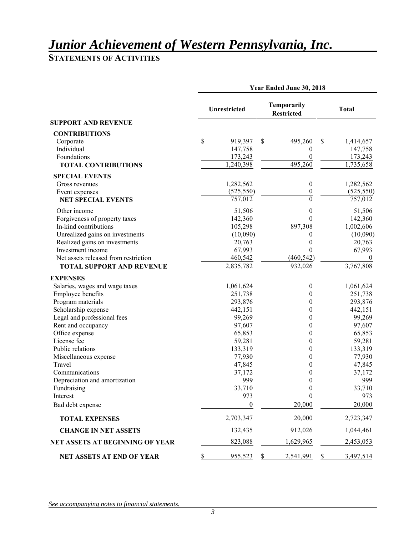## **STATEMENTS OF ACTIVITIES**

|                                      | Year Ended June 30, 2018 |                     |    |                                         |    |                      |
|--------------------------------------|--------------------------|---------------------|----|-----------------------------------------|----|----------------------|
|                                      |                          | <b>Unrestricted</b> |    | <b>Temporarily</b><br><b>Restricted</b> |    | <b>Total</b>         |
| <b>SUPPORT AND REVENUE</b>           |                          |                     |    |                                         |    |                      |
| <b>CONTRIBUTIONS</b>                 |                          |                     |    |                                         |    |                      |
| Corporate                            | \$                       | 919,397             | \$ | 495,260                                 | \$ | 1,414,657            |
| Individual                           |                          | 147,758             |    | $\boldsymbol{0}$                        |    | 147,758              |
| Foundations                          |                          | 173,243             |    | $\mathbf{0}$                            |    | 173,243              |
| <b>TOTAL CONTRIBUTIONS</b>           |                          | 1,240,398           |    | 495,260                                 |    | 1,735,658            |
| <b>SPECIAL EVENTS</b>                |                          |                     |    |                                         |    |                      |
| Gross revenues                       |                          | 1,282,562           |    | $\boldsymbol{0}$                        |    | 1,282,562            |
| Event expenses                       |                          | (525, 550)          |    | $\boldsymbol{0}$                        |    | (525, 550)           |
| <b>NET SPECIAL EVENTS</b>            |                          | 757,012             |    | $\overline{0}$                          |    | $\overline{757,012}$ |
| Other income                         |                          | 51,506              |    | $\mathbf{0}$                            |    | 51,506               |
| Forgiveness of property taxes        |                          | 142,360             |    | $\theta$                                |    | 142,360              |
| In-kind contributions                |                          | 105,298             |    | 897,308                                 |    | 1,002,606            |
| Unrealized gains on investments      |                          | (10,090)            |    | $\theta$                                |    | (10,090)             |
| Realized gains on investments        |                          | 20,763              |    | $\theta$                                |    | 20,763               |
| Investment income                    |                          | 67,993              |    | $\Omega$                                |    | 67,993               |
| Net assets released from restriction |                          | 460,542             |    | (460, 542)                              |    | $\theta$             |
| <b>TOTAL SUPPORT AND REVENUE</b>     |                          | 2,835,782           |    | 932,026                                 |    | 3,767,808            |
| <b>EXPENSES</b>                      |                          |                     |    |                                         |    |                      |
| Salaries, wages and wage taxes       |                          | 1,061,624           |    | $\boldsymbol{0}$                        |    | 1,061,624            |
| Employee benefits                    |                          | 251,738             |    | $\boldsymbol{0}$                        |    | 251,738              |
| Program materials                    |                          | 293,876             |    | 0                                       |    | 293,876              |
| Scholarship expense                  |                          | 442,151             |    | 0                                       |    | 442,151              |
| Legal and professional fees          |                          | 99,269              |    | 0                                       |    | 99,269               |
| Rent and occupancy                   |                          | 97,607              |    | 0                                       |    | 97,607               |
| Office expense                       |                          | 65,853              |    | 0                                       |    | 65,853               |
| License fee                          |                          | 59,281              |    | 0                                       |    | 59,281               |
| Public relations                     |                          | 133,319             |    | 0                                       |    | 133,319              |
| Miscellaneous expense                |                          | 77,930              |    | $\theta$                                |    | 77,930               |
| Travel                               |                          | 47,845              |    | $\theta$                                |    | 47,845               |
| Communications                       |                          | 37,172              |    | 0                                       |    | 37,172               |
| Depreciation and amortization        |                          | 999                 |    | $\theta$                                |    | 999                  |
| Fundraising                          |                          | 33,710              |    | $\boldsymbol{0}$                        |    | 33,710               |
| Interest                             |                          | 973                 |    | $\theta$                                |    | 973                  |
| Bad debt expense                     |                          | $\boldsymbol{0}$    |    | 20,000                                  |    | 20,000               |
| <b>TOTAL EXPENSES</b>                |                          | 2,703,347           |    | 20,000                                  |    | 2,723,347            |
| <b>CHANGE IN NET ASSETS</b>          |                          | 132,435             |    | 912,026                                 |    | 1,044,461            |
| NET ASSETS AT BEGINNING OF YEAR      |                          | 823,088             |    | 1,629,965                               |    | 2,453,053            |
| NET ASSETS AT END OF YEAR            |                          | 955,523             |    | 2.541.991                               |    | 3,497,514            |

*See accompanying notes to financial statements.*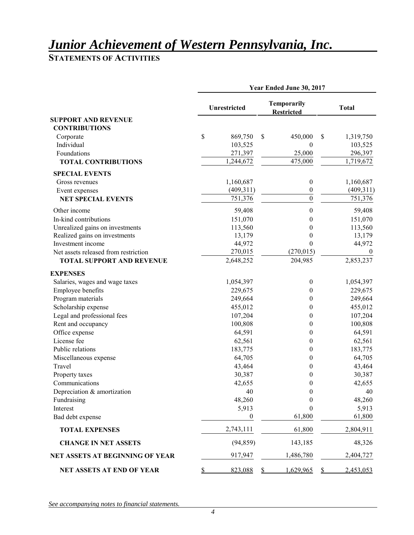## **STATEMENTS OF ACTIVITIES**

|                                                    | Year Ended June 30, 2017 |                  |                                         |    |                  |  |
|----------------------------------------------------|--------------------------|------------------|-----------------------------------------|----|------------------|--|
|                                                    |                          | Unrestricted     | <b>Temporarily</b><br><b>Restricted</b> |    | <b>Total</b>     |  |
| <b>SUPPORT AND REVENUE</b><br><b>CONTRIBUTIONS</b> |                          |                  |                                         |    |                  |  |
| Corporate                                          | \$                       | 869,750          | \$<br>450,000                           | \$ | 1,319,750        |  |
| Individual                                         |                          | 103,525          | $\bf{0}$                                |    | 103,525          |  |
| Foundations                                        |                          | 271,397          | 25,000                                  |    | 296,397          |  |
| <b>TOTAL CONTRIBUTIONS</b>                         |                          | 1,244,672        | 475,000                                 |    | 1,719,672        |  |
| <b>SPECIAL EVENTS</b>                              |                          |                  |                                         |    |                  |  |
| Gross revenues                                     |                          | 1,160,687        | $\boldsymbol{0}$                        |    | 1,160,687        |  |
| Event expenses                                     |                          | (409,311)        | $\boldsymbol{0}$                        |    | (409, 311)       |  |
| <b>NET SPECIAL EVENTS</b>                          |                          | 751,376          | $\mathbf{0}$                            |    | 751,376          |  |
| Other income                                       |                          | 59,408           | $\boldsymbol{0}$                        |    | 59,408           |  |
| In-kind contributions                              |                          | 151,070          | 0                                       |    | 151,070          |  |
| Unrealized gains on investments                    |                          | 113,560          | 0                                       |    | 113,560          |  |
| Realized gains on investments                      |                          | 13,179           | $\theta$                                |    | 13,179           |  |
| Investment income                                  |                          | 44,972           | $\theta$                                |    | 44,972           |  |
| Net assets released from restriction               |                          | 270,015          | (270, 015)                              |    | $\boldsymbol{0}$ |  |
| <b>TOTAL SUPPORT AND REVENUE</b>                   |                          | 2,648,252        | 204,985                                 |    | 2,853,237        |  |
| <b>EXPENSES</b>                                    |                          |                  |                                         |    |                  |  |
| Salaries, wages and wage taxes                     |                          | 1,054,397        | $\boldsymbol{0}$                        |    | 1,054,397        |  |
| Employee benefits                                  |                          | 229,675          | $\theta$                                |    | 229,675          |  |
| Program materials                                  |                          | 249,664          | $\theta$                                |    | 249,664          |  |
| Scholarship expense                                |                          | 455,012          | $\theta$                                |    | 455,012          |  |
| Legal and professional fees                        |                          | 107,204          | $\theta$                                |    | 107,204          |  |
| Rent and occupancy                                 |                          | 100,808          | 0                                       |    | 100,808          |  |
| Office expense                                     |                          | 64,591           | 0                                       |    | 64,591           |  |
| License fee                                        |                          | 62,561           | 0                                       |    | 62,561           |  |
| Public relations                                   |                          | 183,775          | 0                                       |    | 183,775          |  |
| Miscellaneous expense                              |                          | 64,705           | 0                                       |    | 64,705           |  |
| Travel                                             |                          | 43,464           | $\boldsymbol{0}$                        |    | 43,464           |  |
| Property taxes                                     |                          | 30,387           | 0                                       |    | 30,387           |  |
| Communications                                     |                          | 42,655           | $\theta$                                |    | 42,655           |  |
| Depreciation & amortization                        |                          | 40               | $\boldsymbol{0}$                        |    | 40               |  |
| Fundraising                                        |                          | 48,260           | $\theta$                                |    | 48,260           |  |
| Interest                                           |                          | 5,913            | $\theta$                                |    | 5,913            |  |
| Bad debt expense                                   |                          | $\boldsymbol{0}$ | 61,800                                  |    | 61,800           |  |
| <b>TOTAL EXPENSES</b>                              |                          | 2,743,111        | 61,800                                  |    | 2,804,911        |  |
| <b>CHANGE IN NET ASSETS</b>                        |                          | (94, 859)        | 143,185                                 |    | 48,326           |  |
| NET ASSETS AT BEGINNING OF YEAR                    |                          | 917,947          | 1,486,780                               |    | 2,404,727        |  |
| NET ASSETS AT END OF YEAR                          |                          | 823,088          | 1,629,965                               |    | 2,453,053        |  |

*See accompanying notes to financial statements.*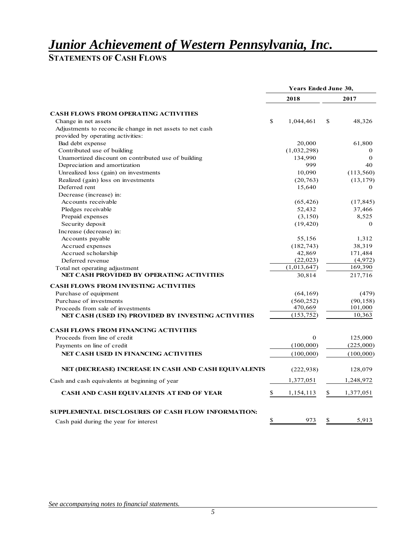**STATEMENTS OF CASH FLOWS**

|                                                           | Years Ended June 30, |              |    |              |
|-----------------------------------------------------------|----------------------|--------------|----|--------------|
|                                                           |                      | 2018         |    | 2017         |
| <b>CASH FLOWS FROM OPERATING ACTIVITIES</b>               |                      |              |    |              |
| Change in net assets                                      | \$                   | 1,044,461    | \$ | 48,326       |
| Adjustments to reconcile change in net assets to net cash |                      |              |    |              |
| provided by operating activities:                         |                      |              |    |              |
| Bad debt expense                                          |                      | 20,000       |    | 61,800       |
| Contributed use of building                               |                      | (1,032,298)  |    | $\mathbf{0}$ |
| Unamortized discount on contributed use of building       |                      | 134,990      |    | $\mathbf{0}$ |
| Depreciation and amortization                             |                      | 999          |    | 40           |
| Unrealized loss (gain) on investments                     |                      | 10,090       |    | (113, 560)   |
| Realized (gain) loss on investments                       |                      | (20, 763)    |    | (13, 179)    |
| Deferred rent                                             |                      | 15,640       |    | $\Omega$     |
| Decrease (increase) in:                                   |                      |              |    |              |
| Accounts receivable                                       |                      | (65, 426)    |    | (17, 845)    |
| Pledges receivable                                        |                      | 52,432       |    | 37,466       |
| Prepaid expenses                                          |                      | (3, 150)     |    | 8,525        |
| Security deposit                                          |                      | (19, 420)    |    | $\Omega$     |
| Increase (decrease) in:                                   |                      |              |    |              |
| Accounts payable                                          |                      | 55,156       |    | 1,312        |
| Accrued expenses                                          |                      | (182, 743)   |    | 38,319       |
| Accrued scholarship                                       |                      | 42,869       |    | 171,484      |
| Deferred revenue                                          |                      | (22, 023)    |    | (4,972)      |
| Total net operating adjustment                            |                      | (1,013,647)  |    | 169,390      |
| NET CASH PROVIDED BY OPERATING ACTIVITIES                 |                      | 30,814       |    | 217,716      |
| <b>CASH FLOWS FROM INVESTING ACTIVITIES</b>               |                      |              |    |              |
| Purchase of equipment                                     |                      | (64, 169)    |    | (479)        |
| Purchase of investments                                   |                      | (560, 252)   |    | (90, 158)    |
| Proceeds from sale of investments                         |                      | 470,669      |    | 101,000      |
| NET CASH (USED IN) PROVIDED BY INVESTING ACTIVITIES       |                      | (153, 752)   |    | 10,363       |
| <b>CASH FLOWS FROM FINANCING ACTIVITIES</b>               |                      |              |    |              |
| Proceeds from line of credit                              |                      | $\mathbf{0}$ |    | 125,000      |
| Payments on line of credit                                |                      | (100,000)    |    | (225,000)    |
| NET CASH USED IN FINANCING ACTIVITIES                     |                      | (100,000)    |    | (100,000)    |
|                                                           |                      |              |    |              |
| NET (DECREASE) INCREASE IN CASH AND CASH EQUIVALENTS      |                      | (222, 938)   |    | 128,079      |
| Cash and cash equivalents at beginning of year            |                      | 1,377,051    |    | 1,248,972    |
| CASH AND CASH EQUIVALENTS AT END OF YEAR                  | \$                   | 1,154,113    | \$ | 1,377,051    |
| SUPPLEMENTAL DISCLOSURES OF CASH FLOW INFORMATION:        |                      |              |    |              |
| Cash paid during the year for interest                    | \$                   | 973          | \$ | 5,913        |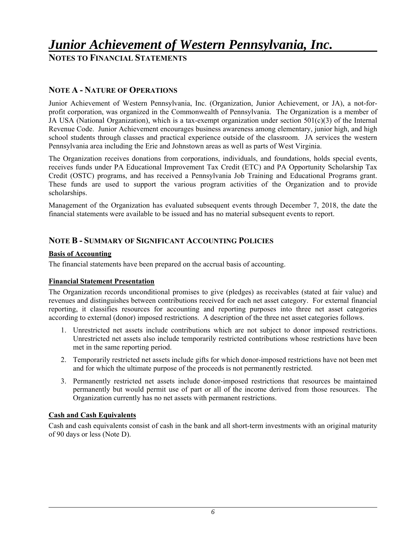**NOTES TO FINANCIAL STATEMENTS**

## **NOTE A - NATURE OF OPERATIONS**

Junior Achievement of Western Pennsylvania, Inc. (Organization, Junior Achievement, or JA), a not-forprofit corporation, was organized in the Commonwealth of Pennsylvania. The Organization is a member of JA USA (National Organization), which is a tax-exempt organization under section 501(c)(3) of the Internal Revenue Code. Junior Achievement encourages business awareness among elementary, junior high, and high school students through classes and practical experience outside of the classroom. JA services the western Pennsylvania area including the Erie and Johnstown areas as well as parts of West Virginia.

The Organization receives donations from corporations, individuals, and foundations, holds special events, receives funds under PA Educational Improvement Tax Credit (ETC) and PA Opportunity Scholarship Tax Credit (OSTC) programs, and has received a Pennsylvania Job Training and Educational Programs grant. These funds are used to support the various program activities of the Organization and to provide scholarships.

Management of the Organization has evaluated subsequent events through December 7, 2018, the date the financial statements were available to be issued and has no material subsequent events to report.

## **NOTE B - SUMMARY OF SIGNIFICANT ACCOUNTING POLICIES**

#### **Basis of Accounting**

The financial statements have been prepared on the accrual basis of accounting.

#### **Financial Statement Presentation**

The Organization records unconditional promises to give (pledges) as receivables (stated at fair value) and revenues and distinguishes between contributions received for each net asset category. For external financial reporting, it classifies resources for accounting and reporting purposes into three net asset categories according to external (donor) imposed restrictions. A description of the three net asset categories follows.

- 1. Unrestricted net assets include contributions which are not subject to donor imposed restrictions. Unrestricted net assets also include temporarily restricted contributions whose restrictions have been met in the same reporting period.
- 2. Temporarily restricted net assets include gifts for which donor-imposed restrictions have not been met and for which the ultimate purpose of the proceeds is not permanently restricted.
- 3. Permanently restricted net assets include donor-imposed restrictions that resources be maintained permanently but would permit use of part or all of the income derived from those resources. The Organization currently has no net assets with permanent restrictions.

#### **Cash and Cash Equivalents**

Cash and cash equivalents consist of cash in the bank and all short-term investments with an original maturity of 90 days or less (Note D).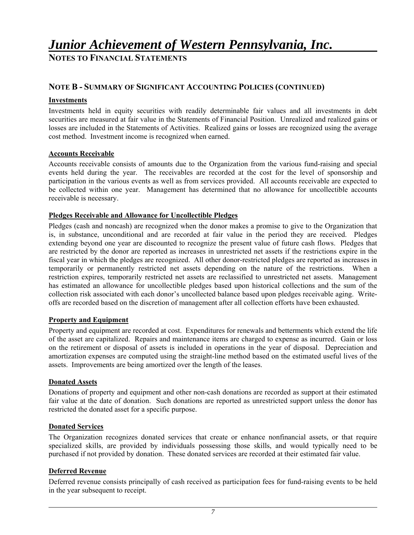**NOTES TO FINANCIAL STATEMENTS**

### **NOTE B - SUMMARY OF SIGNIFICANT ACCOUNTING POLICIES (CONTINUED)**

#### **Investments**

Investments held in equity securities with readily determinable fair values and all investments in debt securities are measured at fair value in the Statements of Financial Position. Unrealized and realized gains or losses are included in the Statements of Activities. Realized gains or losses are recognized using the average cost method. Investment income is recognized when earned.

#### **Accounts Receivable**

Accounts receivable consists of amounts due to the Organization from the various fund-raising and special events held during the year. The receivables are recorded at the cost for the level of sponsorship and participation in the various events as well as from services provided. All accounts receivable are expected to be collected within one year. Management has determined that no allowance for uncollectible accounts receivable is necessary.

#### **Pledges Receivable and Allowance for Uncollectible Pledges**

Pledges (cash and noncash) are recognized when the donor makes a promise to give to the Organization that is, in substance, unconditional and are recorded at fair value in the period they are received. Pledges extending beyond one year are discounted to recognize the present value of future cash flows. Pledges that are restricted by the donor are reported as increases in unrestricted net assets if the restrictions expire in the fiscal year in which the pledges are recognized. All other donor-restricted pledges are reported as increases in temporarily or permanently restricted net assets depending on the nature of the restrictions. When a restriction expires, temporarily restricted net assets are reclassified to unrestricted net assets. Management has estimated an allowance for uncollectible pledges based upon historical collections and the sum of the collection risk associated with each donor's uncollected balance based upon pledges receivable aging. Writeoffs are recorded based on the discretion of management after all collection efforts have been exhausted.

#### **Property and Equipment**

Property and equipment are recorded at cost. Expenditures for renewals and betterments which extend the life of the asset are capitalized. Repairs and maintenance items are charged to expense as incurred. Gain or loss on the retirement or disposal of assets is included in operations in the year of disposal. Depreciation and amortization expenses are computed using the straight-line method based on the estimated useful lives of the assets. Improvements are being amortized over the length of the leases.

#### **Donated Assets**

Donations of property and equipment and other non-cash donations are recorded as support at their estimated fair value at the date of donation. Such donations are reported as unrestricted support unless the donor has restricted the donated asset for a specific purpose.

#### **Donated Services**

The Organization recognizes donated services that create or enhance nonfinancial assets, or that require specialized skills, are provided by individuals possessing those skills, and would typically need to be purchased if not provided by donation. These donated services are recorded at their estimated fair value.

#### **Deferred Revenue**

Deferred revenue consists principally of cash received as participation fees for fund-raising events to be held in the year subsequent to receipt.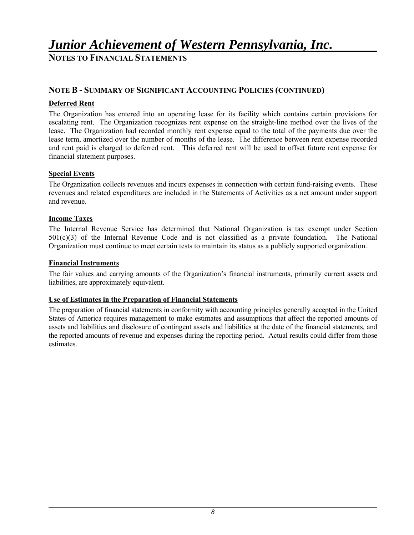**NOTES TO FINANCIAL STATEMENTS**

### **NOTE B - SUMMARY OF SIGNIFICANT ACCOUNTING POLICIES (CONTINUED)**

#### **Deferred Rent**

The Organization has entered into an operating lease for its facility which contains certain provisions for escalating rent. The Organization recognizes rent expense on the straight-line method over the lives of the lease. The Organization had recorded monthly rent expense equal to the total of the payments due over the lease term, amortized over the number of months of the lease. The difference between rent expense recorded and rent paid is charged to deferred rent. This deferred rent will be used to offset future rent expense for financial statement purposes.

#### **Special Events**

The Organization collects revenues and incurs expenses in connection with certain fund-raising events. These revenues and related expenditures are included in the Statements of Activities as a net amount under support and revenue.

#### **Income Taxes**

The Internal Revenue Service has determined that National Organization is tax exempt under Section 501(c)(3) of the Internal Revenue Code and is not classified as a private foundation. The National Organization must continue to meet certain tests to maintain its status as a publicly supported organization.

#### **Financial Instruments**

The fair values and carrying amounts of the Organization's financial instruments, primarily current assets and liabilities, are approximately equivalent.

#### **Use of Estimates in the Preparation of Financial Statements**

The preparation of financial statements in conformity with accounting principles generally accepted in the United States of America requires management to make estimates and assumptions that affect the reported amounts of assets and liabilities and disclosure of contingent assets and liabilities at the date of the financial statements, and the reported amounts of revenue and expenses during the reporting period. Actual results could differ from those estimates.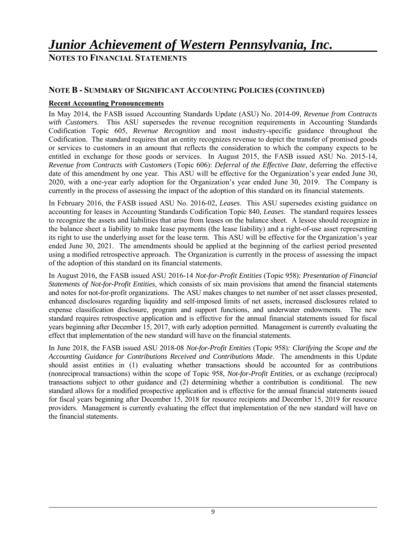**NOTES TO FINANCIAL STATEMENTS**

### **NOTE B - SUMMARY OF SIGNIFICANT ACCOUNTING POLICIES (CONTINUED)**

#### **Recent Accounting Pronouncements**

In May 2014, the FASB issued Accounting Standards Update (ASU) No. 2014-09, *Revenue from Contracts*  with Customers. This ASU supersedes the revenue recognition requirements in Accounting Standards Codification Topic 605, *Revenue Recognition* and most industry-specific guidance throughout the Codification. The standard requires that an entity recognizes revenue to depict the transfer of promised goods or services to customers in an amount that reflects the consideration to which the company expects to be entitled in exchange for those goods or services. In August 2015, the FASB issued ASU No. 2015-14, *Revenue from Contracts with Customers* (Topic 606): *Deferral of the Effective Date*, deferring the effective date of this amendment by one year. This ASU will be effective for the Organization's year ended June 30, 2020, with a one-year early adoption for the Organization's year ended June 30, 2019. The Company is currently in the process of assessing the impact of the adoption of this standard on its financial statements.

In February 2016, the FASB issued ASU No. 2016-02, *Leases*. This ASU supersedes existing guidance on accounting for leases in Accounting Standards Codification Topic 840, *Leases*. The standard requires lessees to recognize the assets and liabilities that arise from leases on the balance sheet. A lessee should recognize in the balance sheet a liability to make lease payments (the lease liability) and a right-of-use asset representing its right to use the underlying asset for the lease term. This ASU will be effective for the Organization's year ended June 30, 2021. The amendments should be applied at the beginning of the earliest period presented using a modified retrospective approach. The Organization is currently in the process of assessing the impact of the adoption of this standard on its financial statements.

In August 2016, the FASB issued ASU 2016-14 *Not-for-Profit Entities* (Topic 958)*: Presentation of Financial Statements of Not-for-Profit Entities*, which consists of six main provisions that amend the financial statements and notes for not-for-profit organizations. The ASU makes changes to net number of net asset classes presented, enhanced disclosures regarding liquidity and self-imposed limits of net assets, increased disclosures related to expense classification disclosure, program and support functions, and underwater endowments. The new standard requires retrospective application and is effective for the annual financial statements issued for fiscal years beginning after December 15, 2017, with early adoption permitted. Management is currently evaluating the effect that implementation of the new standard will have on the financial statements.

In June 2018, the FASB issued ASU 2018-08 *Not-for-Profit Entities* (Topic 958)*: Clarifying the Scope and the Accounting Guidance for Contributions Received and Contributions Made*. The amendments in this Update should assist entities in (1) evaluating whether transactions should be accounted for as contributions (nonreciprocal transactions) within the scope of Topic 958, *Not-for-Profit Entities*, or as exchange (reciprocal) transactions subject to other guidance and (2) determining whether a contribution is conditional. The new standard allows for a modified prospective application and is effective for the annual financial statements issued for fiscal years beginning after December 15, 2018 for resource recipients and December 15, 2019 for resource providers. Management is currently evaluating the effect that implementation of the new standard will have on the financial statements.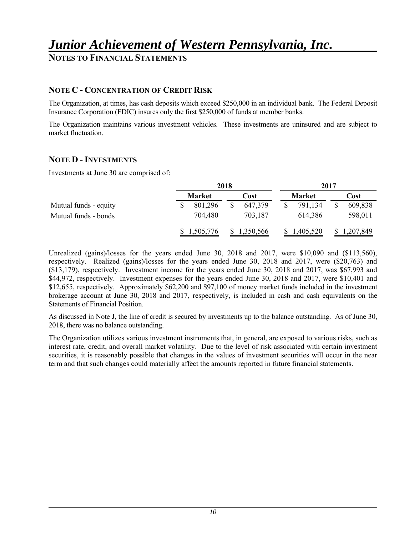## **NOTE C - CONCENTRATION OF CREDIT RISK**

The Organization, at times, has cash deposits which exceed \$250,000 in an individual bank. The Federal Deposit Insurance Corporation (FDIC) insures only the first \$250,000 of funds at member banks.

The Organization maintains various investment vehicles. These investments are uninsured and are subject to market fluctuation.

## **NOTE D - INVESTMENTS**

Investments at June 30 are comprised of:

|                       | 2018          |  |           | 2017 |               |  |           |
|-----------------------|---------------|--|-----------|------|---------------|--|-----------|
|                       | <b>Market</b> |  | Cost      |      | <b>Market</b> |  | Cost      |
| Mutual funds - equity | \$<br>801,296 |  | 647,379   |      | 791,134       |  | 609,838   |
| Mutual funds - bonds  | 704,480       |  | 703,187   |      | 614,386       |  | 598,011   |
|                       | 1,505,776     |  | 1,350,566 |      | 1,405,520     |  | 1,207,849 |

Unrealized (gains)/losses for the years ended June 30, 2018 and 2017, were \$10,090 and (\$113,560), respectively. Realized (gains)/losses for the years ended June 30, 2018 and 2017, were (\$20,763) and (\$13,179), respectively. Investment income for the years ended June 30, 2018 and 2017, was \$67,993 and \$44,972, respectively. Investment expenses for the years ended June 30, 2018 and 2017, were \$10,401 and \$12,655, respectively. Approximately \$62,200 and \$97,100 of money market funds included in the investment brokerage account at June 30, 2018 and 2017, respectively, is included in cash and cash equivalents on the Statements of Financial Position.

As discussed in Note J, the line of credit is secured by investments up to the balance outstanding. As of June 30, 2018, there was no balance outstanding.

The Organization utilizes various investment instruments that, in general, are exposed to various risks, such as interest rate, credit, and overall market volatility. Due to the level of risk associated with certain investment securities, it is reasonably possible that changes in the values of investment securities will occur in the near term and that such changes could materially affect the amounts reported in future financial statements.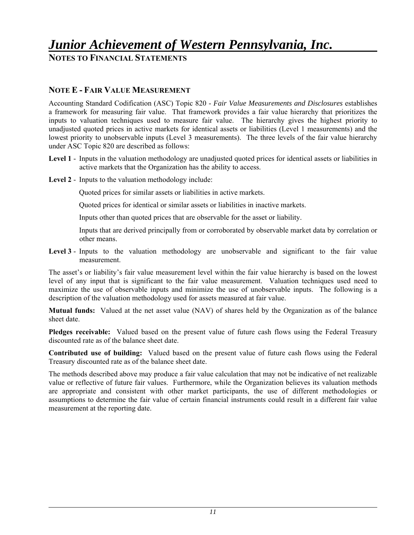**NOTES TO FINANCIAL STATEMENTS**

## **NOTE E - FAIR VALUE MEASUREMENT**

Accounting Standard Codification (ASC) Topic 820 - *Fair Value Measurements and Disclosures* establishes a framework for measuring fair value. That framework provides a fair value hierarchy that prioritizes the inputs to valuation techniques used to measure fair value. The hierarchy gives the highest priority to unadjusted quoted prices in active markets for identical assets or liabilities (Level 1 measurements) and the lowest priority to unobservable inputs (Level 3 measurements). The three levels of the fair value hierarchy under ASC Topic 820 are described as follows:

- Level 1 Inputs in the valuation methodology are unadjusted quoted prices for identical assets or liabilities in active markets that the Organization has the ability to access.
- **Level 2**  Inputs to the valuation methodology include:

Quoted prices for similar assets or liabilities in active markets.

Quoted prices for identical or similar assets or liabilities in inactive markets.

Inputs other than quoted prices that are observable for the asset or liability.

 Inputs that are derived principally from or corroborated by observable market data by correlation or other means.

Level 3 - Inputs to the valuation methodology are unobservable and significant to the fair value measurement.

The asset's or liability's fair value measurement level within the fair value hierarchy is based on the lowest level of any input that is significant to the fair value measurement. Valuation techniques used need to maximize the use of observable inputs and minimize the use of unobservable inputs. The following is a description of the valuation methodology used for assets measured at fair value.

**Mutual funds:** Valued at the net asset value (NAV) of shares held by the Organization as of the balance sheet date.

**Pledges receivable:** Valued based on the present value of future cash flows using the Federal Treasury discounted rate as of the balance sheet date.

**Contributed use of building:** Valued based on the present value of future cash flows using the Federal Treasury discounted rate as of the balance sheet date.

The methods described above may produce a fair value calculation that may not be indicative of net realizable value or reflective of future fair values. Furthermore, while the Organization believes its valuation methods are appropriate and consistent with other market participants, the use of different methodologies or assumptions to determine the fair value of certain financial instruments could result in a different fair value measurement at the reporting date.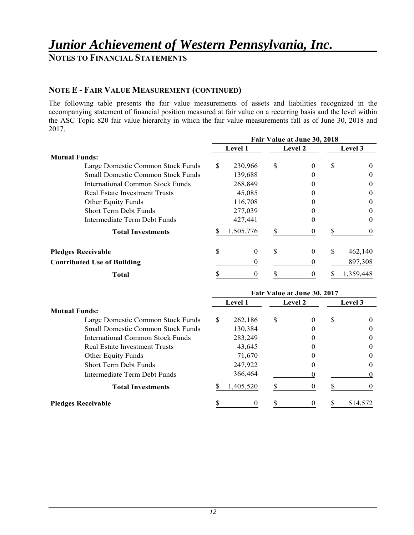## **NOTE E - FAIR VALUE MEASUREMENT (CONTINUED)**

The following table presents the fair value measurements of assets and liabilities recognized in the accompanying statement of financial position measured at fair value on a recurring basis and the level within the ASC Topic 820 fair value hierarchy in which the fair value measurements fall as of June 30, 2018 and 2017.

|                                          | Fair Value at June 30, 2018 |                |    |          |    |           |
|------------------------------------------|-----------------------------|----------------|----|----------|----|-----------|
|                                          |                             | <b>Level 1</b> |    | Level 2  |    | Level 3   |
| <b>Mutual Funds:</b>                     |                             |                |    |          |    |           |
| Large Domestic Common Stock Funds        | <sup>\$</sup>               | 230,966        | \$ | $\Omega$ | \$ | $\theta$  |
| <b>Small Domestic Common Stock Funds</b> |                             | 139,688        |    |          |    | 0         |
| International Common Stock Funds         |                             | 268,849        |    |          |    |           |
| Real Estate Investment Trusts            |                             | 45,085         |    |          |    | 0         |
| Other Equity Funds                       |                             | 116,708        |    |          |    | 0         |
| <b>Short Term Debt Funds</b>             |                             | 277,039        |    |          |    |           |
| Intermediate Term Debt Funds             |                             | 427,441        |    |          |    |           |
| <b>Total Investments</b>                 |                             | 1,505,776      |    |          |    |           |
| <b>Pledges Receivable</b>                | S                           | 0              | \$ | $\Omega$ | \$ | 462,140   |
| <b>Contributed Use of Building</b>       |                             |                |    | $\theta$ |    | 897,308   |
| Total                                    |                             |                |    | $\theta$ |    | 1,359,448 |

|                                          | Fair Value at June 30, 2017 |                |   |                |    |          |
|------------------------------------------|-----------------------------|----------------|---|----------------|----|----------|
|                                          |                             | <b>Level 1</b> |   | <b>Level 2</b> |    | Level 3  |
| <b>Mutual Funds:</b>                     |                             |                |   |                |    |          |
| Large Domestic Common Stock Funds        | S                           | 262,186        | S | $\Omega$       | \$ | $\theta$ |
| <b>Small Domestic Common Stock Funds</b> |                             | 130,384        |   |                |    | 0        |
| International Common Stock Funds         |                             | 283,249        |   |                |    | 0        |
| Real Estate Investment Trusts            |                             | 43,645         |   |                |    | 0        |
| <b>Other Equity Funds</b>                |                             | 71,670         |   |                |    | 0        |
| <b>Short Term Debt Funds</b>             |                             | 247,922        |   |                |    | 0        |
| Intermediate Term Debt Funds             |                             | 366,464        |   |                |    |          |
| <b>Total Investments</b>                 |                             | 1,405,520      |   |                |    |          |
| <b>Pledges Receivable</b>                |                             |                |   |                |    | 514,572  |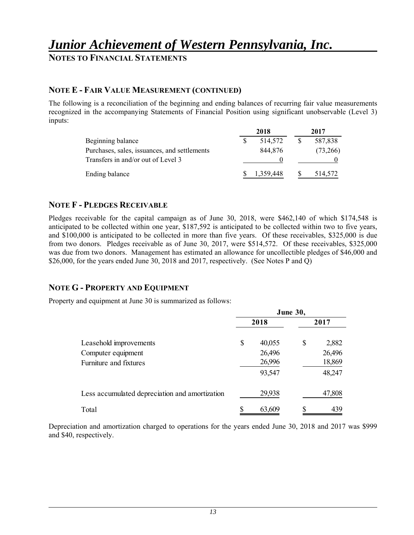## **NOTE E - FAIR VALUE MEASUREMENT (CONTINUED)**

The following is a reconciliation of the beginning and ending balances of recurring fair value measurements recognized in the accompanying Statements of Financial Position using significant unobservable (Level 3) inputs:

|                                              | 2018      | 2017     |
|----------------------------------------------|-----------|----------|
| Beginning balance                            | 514,572   | 587,838  |
| Purchases, sales, issuances, and settlements | 844,876   | (73,266) |
| Transfers in and/or out of Level 3           |           |          |
| Ending balance                               | 1,359,448 | 514,572  |

## **NOTE F - PLEDGES RECEIVABLE**

Pledges receivable for the capital campaign as of June 30, 2018, were \$462,140 of which \$174,548 is anticipated to be collected within one year, \$187,592 is anticipated to be collected within two to five years, and \$100,000 is anticipated to be collected in more than five years. Of these receivables, \$325,000 is due from two donors. Pledges receivable as of June 30, 2017, were \$514,572. Of these receivables, \$325,000 was due from two donors. Management has estimated an allowance for uncollectible pledges of \$46,000 and \$26,000, for the years ended June 30, 2018 and 2017, respectively. (See Notes P and Q)

## **NOTE G - PROPERTY AND EQUIPMENT**

Property and equipment at June 30 is summarized as follows:

|                                                | <b>June 30,</b> |        |    |        |  |
|------------------------------------------------|-----------------|--------|----|--------|--|
|                                                |                 | 2018   |    | 2017   |  |
| Leasehold improvements                         | \$              | 40,055 | \$ | 2,882  |  |
| Computer equipment                             |                 | 26,496 |    | 26,496 |  |
| Furniture and fixtures                         |                 | 26,996 |    | 18,869 |  |
|                                                |                 | 93,547 |    | 48,247 |  |
| Less accumulated depreciation and amortization |                 | 29,938 |    | 47,808 |  |
| Total                                          |                 | 63,609 | ς  | 439    |  |

Depreciation and amortization charged to operations for the years ended June 30, 2018 and 2017 was \$999 and \$40, respectively.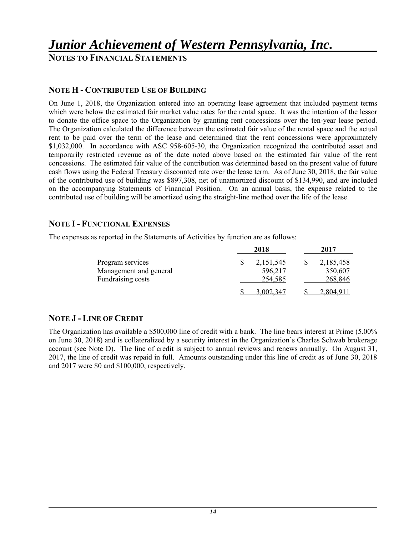**NOTES TO FINANCIAL STATEMENTS**

### **NOTE H - CONTRIBUTED USE OF BUILDING**

On June 1, 2018, the Organization entered into an operating lease agreement that included payment terms which were below the estimated fair market value rates for the rental space. It was the intention of the lessor to donate the office space to the Organization by granting rent concessions over the ten-year lease period. The Organization calculated the difference between the estimated fair value of the rental space and the actual rent to be paid over the term of the lease and determined that the rent concessions were approximately \$1,032,000. In accordance with ASC 958-605-30, the Organization recognized the contributed asset and temporarily restricted revenue as of the date noted above based on the estimated fair value of the rent concessions. The estimated fair value of the contribution was determined based on the present value of future cash flows using the Federal Treasury discounted rate over the lease term. As of June 30, 2018, the fair value of the contributed use of building was \$897,308, net of unamortized discount of \$134,990, and are included on the accompanying Statements of Financial Position. On an annual basis, the expense related to the contributed use of building will be amortized using the straight-line method over the life of the lease.

### **NOTE I - FUNCTIONAL EXPENSES**

The expenses as reported in the Statements of Activities by function are as follows:

|                        | 2018      | 2017      |
|------------------------|-----------|-----------|
| Program services       | 2,151,545 | 2,185,458 |
| Management and general | 596,217   | 350,607   |
| Fundraising costs      | 254,585   | 268,846   |
|                        | 3,002,347 | 2,804,91  |

## **NOTE J - LINE OF CREDIT**

The Organization has available a \$500,000 line of credit with a bank. The line bears interest at Prime (5.00% on June 30, 2018) and is collateralized by a security interest in the Organization's Charles Schwab brokerage account (see Note D). The line of credit is subject to annual reviews and renews annually. On August 31, 2017, the line of credit was repaid in full. Amounts outstanding under this line of credit as of June 30, 2018 and 2017 were \$0 and \$100,000, respectively.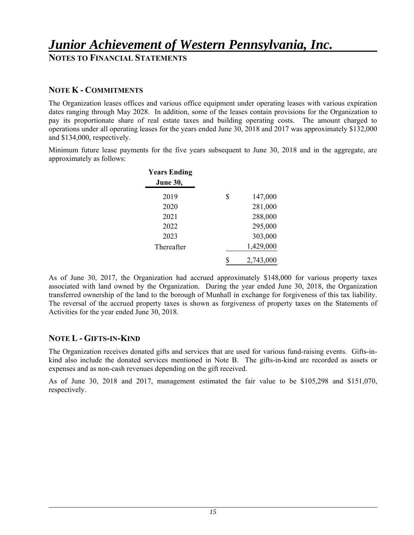### **NOTE K - COMMITMENTS**

The Organization leases offices and various office equipment under operating leases with various expiration dates ranging through May 2028. In addition, some of the leases contain provisions for the Organization to pay its proportionate share of real estate taxes and building operating costs. The amount charged to operations under all operating leases for the years ended June 30, 2018 and 2017 was approximately \$132,000 and \$134,000, respectively.

Minimum future lease payments for the five years subsequent to June 30, 2018 and in the aggregate, are approximately as follows:

| <b>Years Ending</b><br><b>June 30,</b> |               |
|----------------------------------------|---------------|
| 2019                                   | \$<br>147,000 |
| 2020                                   | 281,000       |
| 2021                                   | 288,000       |
| 2022                                   | 295,000       |
| 2023                                   | 303,000       |
| Thereafter                             | 1,429,000     |
|                                        | 2,743,000     |
|                                        |               |

As of June 30, 2017, the Organization had accrued approximately \$148,000 for various property taxes associated with land owned by the Organization. During the year ended June 30, 2018, the Organization transferred ownership of the land to the borough of Munhall in exchange for forgiveness of this tax liability. The reversal of the accrued property taxes is shown as forgiveness of property taxes on the Statements of Activities for the year ended June 30, 2018.

## **NOTE L - GIFTS-IN-KIND**

The Organization receives donated gifts and services that are used for various fund-raising events. Gifts-inkind also include the donated services mentioned in Note B. The gifts-in-kind are recorded as assets or expenses and as non-cash revenues depending on the gift received.

As of June 30, 2018 and 2017, management estimated the fair value to be \$105,298 and \$151,070, respectively.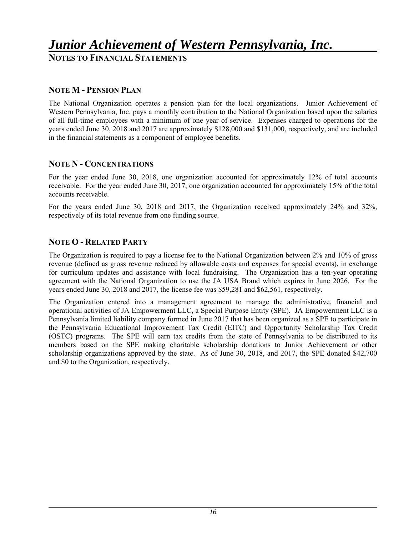**NOTES TO FINANCIAL STATEMENTS**

## **NOTE M - PENSION PLAN**

The National Organization operates a pension plan for the local organizations. Junior Achievement of Western Pennsylvania, Inc. pays a monthly contribution to the National Organization based upon the salaries of all full-time employees with a minimum of one year of service. Expenses charged to operations for the years ended June 30, 2018 and 2017 are approximately \$128,000 and \$131,000, respectively, and are included in the financial statements as a component of employee benefits.

## **NOTE N - CONCENTRATIONS**

For the year ended June 30, 2018, one organization accounted for approximately 12% of total accounts receivable. For the year ended June 30, 2017, one organization accounted for approximately 15% of the total accounts receivable.

For the years ended June 30, 2018 and 2017, the Organization received approximately 24% and 32%, respectively of its total revenue from one funding source.

## **NOTE O - RELATED PARTY**

The Organization is required to pay a license fee to the National Organization between 2% and 10% of gross revenue (defined as gross revenue reduced by allowable costs and expenses for special events), in exchange for curriculum updates and assistance with local fundraising. The Organization has a ten-year operating agreement with the National Organization to use the JA USA Brand which expires in June 2026. For the years ended June 30, 2018 and 2017, the license fee was \$59,281 and \$62,561, respectively.

The Organization entered into a management agreement to manage the administrative, financial and operational activities of JA Empowerment LLC, a Special Purpose Entity (SPE). JA Empowerment LLC is a Pennsylvania limited liability company formed in June 2017 that has been organized as a SPE to participate in the Pennsylvania Educational Improvement Tax Credit (EITC) and Opportunity Scholarship Tax Credit (OSTC) programs. The SPE will earn tax credits from the state of Pennsylvania to be distributed to its members based on the SPE making charitable scholarship donations to Junior Achievement or other scholarship organizations approved by the state. As of June 30, 2018, and 2017, the SPE donated \$42,700 and \$0 to the Organization, respectively.